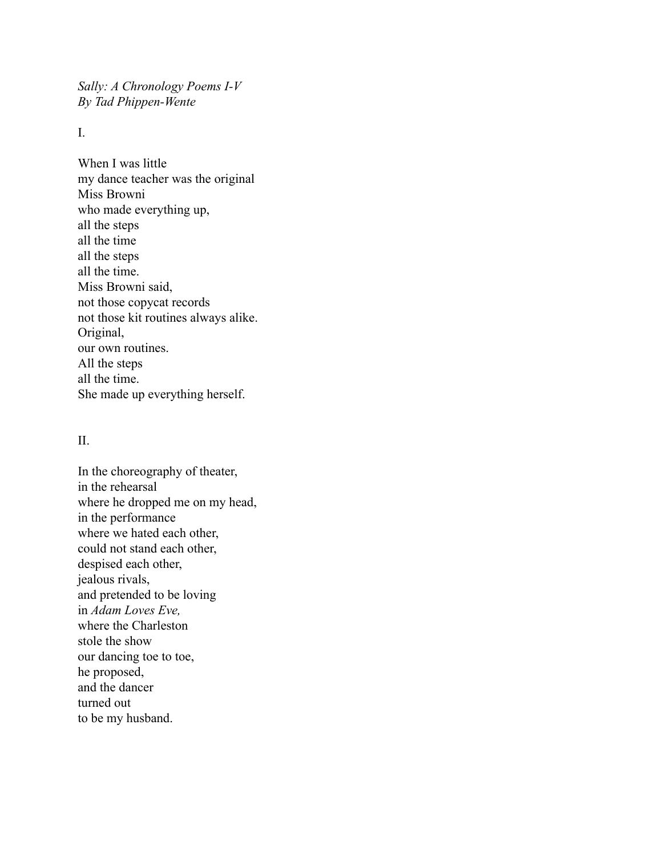*Sally: A Chronology Poems I-V By Tad Phippen-Wente*

I.

When I was little my dance teacher was the original Miss Browni who made everything up, all the steps all the time all the steps all the time. Miss Browni said, not those copycat records not those kit routines always alike. Original, our own routines. All the steps all the time. She made up everything herself.

## II.

In the choreography of theater, in the rehearsal where he dropped me on my head, in the performance where we hated each other, could not stand each other, despised each other, jealous rivals, and pretended to be loving in *Adam Loves Eve,* where the Charleston stole the show our dancing toe to toe, he proposed, and the dancer turned out to be my husband.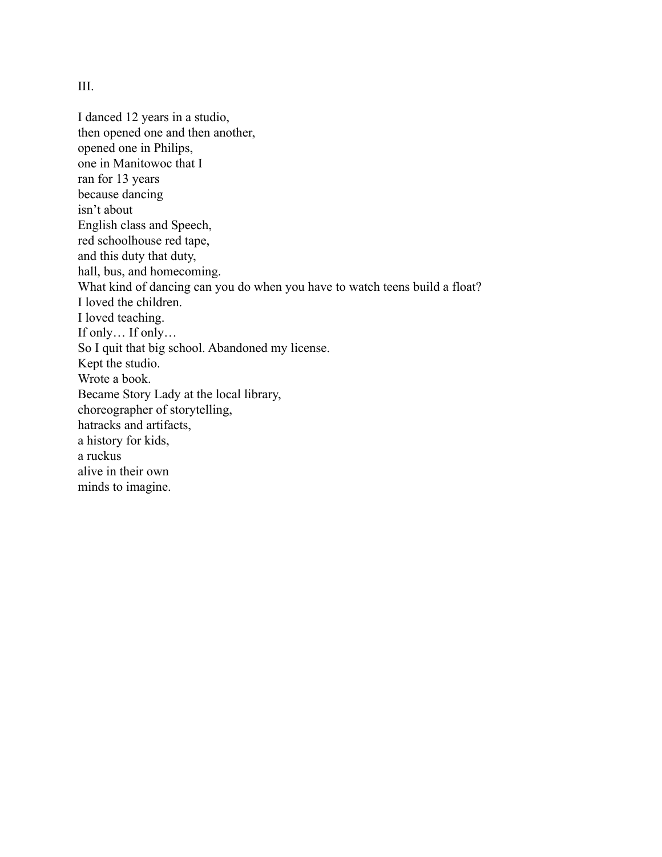III.

I danced 12 years in a studio, then opened one and then another, opened one in Philips, one in Manitowoc that I ran for 13 years because dancing isn't about English class and Speech, red schoolhouse red tape, and this duty that duty, hall, bus, and homecoming. What kind of dancing can you do when you have to watch teens build a float? I loved the children. I loved teaching. If only… If only… So I quit that big school. Abandoned my license. Kept the studio. Wrote a book. Became Story Lady at the local library, choreographer of storytelling, hatracks and artifacts, a history for kids, a ruckus alive in their own minds to imagine.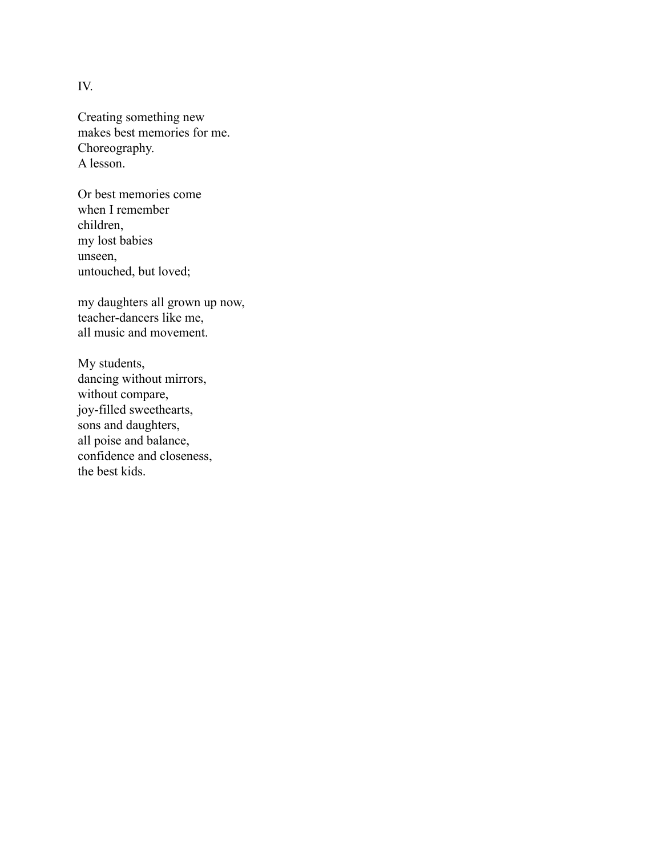IV.

Creating something new makes best memories for me. Choreography. A lesson.

Or best memories come when I remember children, my lost babies unseen, untouched, but loved;

my daughters all grown up now, teacher-dancers like me, all music and movement.

My students, dancing without mirrors, without compare, joy-filled sweethearts, sons and daughters, all poise and balance, confidence and closeness, the best kids.